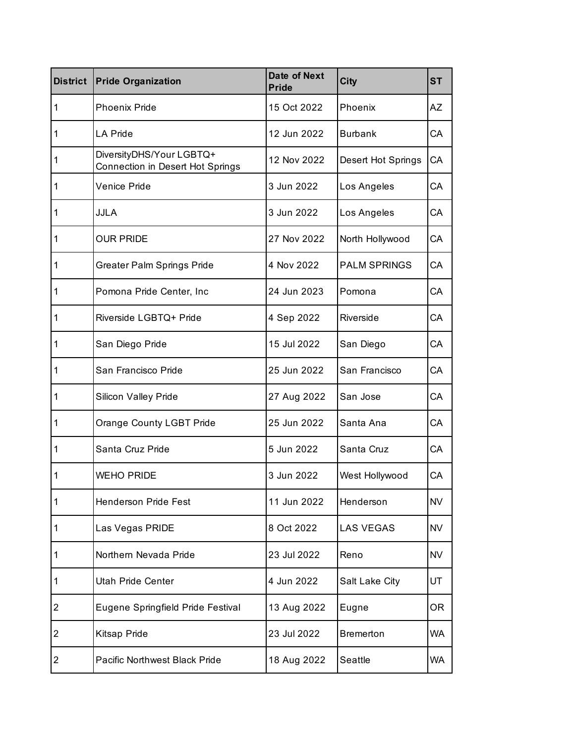| <b>District</b> | <b>Pride Organization</b>                                    | <b>Date of Next</b><br><b>Pride</b> | <b>City</b>         | <b>ST</b> |
|-----------------|--------------------------------------------------------------|-------------------------------------|---------------------|-----------|
| 1               | <b>Phoenix Pride</b>                                         | 15 Oct 2022                         | Phoenix             | AΖ        |
| 1               | LA Pride                                                     | 12 Jun 2022                         | <b>Burbank</b>      | СA        |
| 1               | DiversityDHS/Your LGBTQ+<br>Connection in Desert Hot Springs | 12 Nov 2022                         | Desert Hot Springs  | СA        |
| 1               | Venice Pride                                                 | 3 Jun 2022                          | Los Angeles         | СA        |
| 1               | <b>JJLA</b>                                                  | 3 Jun 2022                          | Los Angeles         | СA        |
| 1               | <b>OUR PRIDE</b>                                             | 27 Nov 2022                         | North Hollywood     | СA        |
| 1               | <b>Greater Palm Springs Pride</b>                            | 4 Nov 2022                          | <b>PALM SPRINGS</b> | СA        |
| 1               | Pomona Pride Center, Inc.                                    | 24 Jun 2023                         | Pomona              | СA        |
| 1               | Riverside LGBTQ+ Pride                                       | 4 Sep 2022                          | Riverside           | СA        |
| 1               | San Diego Pride                                              | 15 Jul 2022                         | San Diego           | СA        |
| 1               | San Francisco Pride                                          | 25 Jun 2022                         | San Francisco       | СA        |
| 1               | Silicon Valley Pride                                         | 27 Aug 2022                         | San Jose            | СA        |
| 1               | <b>Orange County LGBT Pride</b>                              | 25 Jun 2022                         | Santa Ana           | СA        |
| 1               | Santa Cruz Pride                                             | 5 Jun 2022                          | Santa Cruz          | СA        |
| 1               | WEHO PRIDE                                                   | 3 Jun 2022                          | West Hollywood      | СA        |
| $\mathbf 1$     | <b>Henderson Pride Fest</b>                                  | 11 Jun 2022                         | Henderson           | <b>NV</b> |
| 1               | Las Vegas PRIDE                                              | 8 Oct 2022                          | <b>LAS VEGAS</b>    | <b>NV</b> |
| 1               | Northern Nevada Pride                                        | 23 Jul 2022                         | Reno                | NV        |
| 1               | Utah Pride Center                                            | 4 Jun 2022                          | Salt Lake City      | UT        |
| $\overline{2}$  | Eugene Springfield Pride Festival                            | 13 Aug 2022                         | Eugne               | 0R        |
| 2               | Kitsap Pride                                                 | 23 Jul 2022                         | <b>Bremerton</b>    | WA        |
| 2               | <b>Pacific Northwest Black Pride</b>                         | 18 Aug 2022                         | Seattle             | Wa        |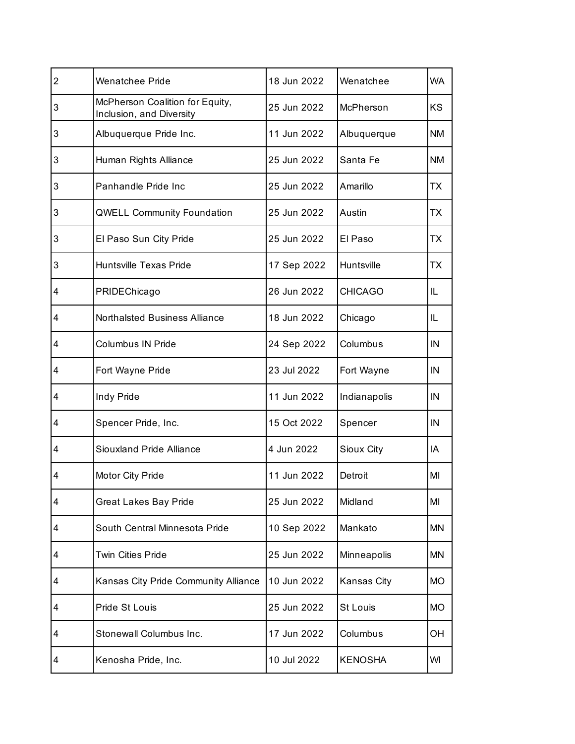| $\overline{2}$ | <b>Wenatchee Pride</b>                                      | 18 Jun 2022 | Wenatchee         | <b>WA</b> |
|----------------|-------------------------------------------------------------|-------------|-------------------|-----------|
| 3              | McPherson Coalition for Equity,<br>Inclusion, and Diversity | 25 Jun 2022 | McPherson         | <b>KS</b> |
| 3              | Albuquerque Pride Inc.                                      | 11 Jun 2022 | Albuquerque       | <b>NM</b> |
| 3              | Human Rights Alliance                                       | 25 Jun 2022 | Santa Fe          | <b>NM</b> |
| 3              | Panhandle Pride Inc                                         | 25 Jun 2022 | Amarillo          | ТX        |
| 3              | <b>QWELL Community Foundation</b>                           | 25 Jun 2022 | Austin            | ТX        |
| 3              | El Paso Sun City Pride                                      | 25 Jun 2022 | El Paso           | ТX        |
| 3              | <b>Huntsville Texas Pride</b>                               | 17 Sep 2022 | <b>Huntsville</b> | ТX        |
| 4              | PRIDEChicago                                                | 26 Jun 2022 | <b>CHICAGO</b>    | IL        |
| 4              | <b>Northalsted Business Alliance</b>                        | 18 Jun 2022 | Chicago           | IL        |
| 4              | <b>Columbus IN Pride</b>                                    | 24 Sep 2022 | Columbus          | IN        |
| 4              | Fort Wayne Pride                                            | 23 Jul 2022 | Fort Wayne        | IN        |
| 4              | Indy Pride                                                  | 11 Jun 2022 | Indianapolis      | IN        |
| 4              | Spencer Pride, Inc.                                         | 15 Oct 2022 | Spencer           | IN        |
| 4              | Siouxland Pride Alliance                                    | 4 Jun 2022  | Sioux City        | IA        |
| 4              | Motor City Pride                                            | 11 Jun 2022 | Detroit           | MI        |
| 4              | <b>Great Lakes Bay Pride</b>                                | 25 Jun 2022 | Midland           | MI        |
| 4              | South Central Minnesota Pride                               | 10 Sep 2022 | Mankato           | <b>MN</b> |
| 4              | <b>Twin Cities Pride</b>                                    | 25 Jun 2022 | Minneapolis       | ΜN        |
| 4              | Kansas City Pride Community Alliance                        | 10 Jun 2022 | Kansas City       | <b>MO</b> |
| 4              | Pride St Louis                                              | 25 Jun 2022 | St Louis          | <b>MO</b> |
| 4              | Stonewall Columbus Inc.                                     | 17 Jun 2022 | Columbus          | OН        |
| 4              | Kenosha Pride, Inc.                                         | 10 Jul 2022 | <b>KENOSHA</b>    | WI        |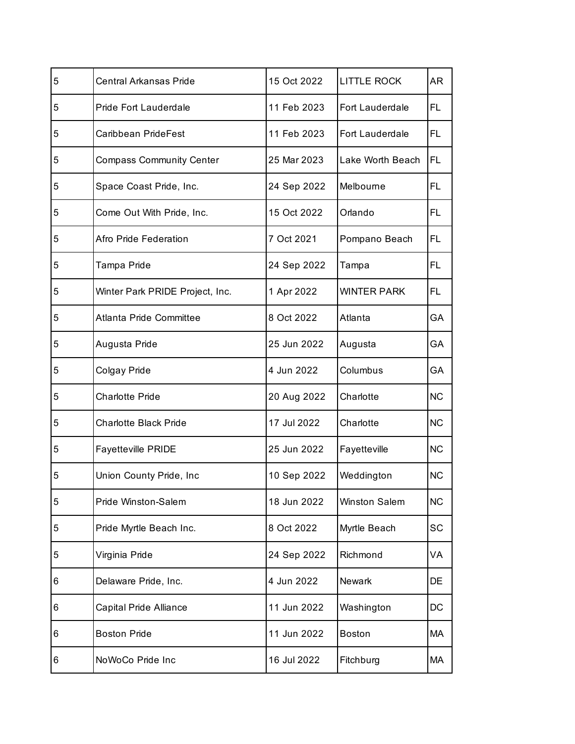| 5 | <b>Central Arkansas Pride</b>   | 15 Oct 2022 | <b>LITTLE ROCK</b>     | AR.       |
|---|---------------------------------|-------------|------------------------|-----------|
| 5 | <b>Pride Fort Lauderdale</b>    | 11 Feb 2023 | Fort Lauderdale        | FL        |
| 5 | Caribbean PrideFest             | 11 Feb 2023 | <b>Fort Lauderdale</b> | FL        |
| 5 | <b>Compass Community Center</b> | 25 Mar 2023 | Lake Worth Beach       | FL        |
| 5 | Space Coast Pride, Inc.         | 24 Sep 2022 | Melbourne              | FL        |
| 5 | Come Out With Pride, Inc.       | 15 Oct 2022 | Orlando                | FL.       |
| 5 | Afro Pride Federation           | 7 Oct 2021  | Pompano Beach          | FL        |
| 5 | Tampa Pride                     | 24 Sep 2022 | Tampa                  | FL        |
| 5 | Winter Park PRIDE Project, Inc. | 1 Apr 2022  | <b>WINTER PARK</b>     | FL.       |
| 5 | Atlanta Pride Committee         | 8 Oct 2022  | Atlanta                | GA        |
| 5 | Augusta Pride                   | 25 Jun 2022 | Augusta                | GА        |
| 5 | Colgay Pride                    | 4 Jun 2022  | Columbus               | GA        |
| 5 | <b>Charlotte Pride</b>          | 20 Aug 2022 | Charlotte              | <b>NC</b> |
| 5 | <b>Charlotte Black Pride</b>    | 17 Jul 2022 | Charlotte              | <b>NC</b> |
| 5 | <b>Fayetteville PRIDE</b>       | 25 Jun 2022 | Fayetteville           | <b>NC</b> |
| 5 | Union County Pride, Inc         | 10 Sep 2022 | Weddington             | <b>NC</b> |
| 5 | Pride Winston-Salem             | 18 Jun 2022 | Winston Salem          | <b>NC</b> |
| 5 | Pride Myrtle Beach Inc.         | 8 Oct 2022  | Myrtle Beach           | SC        |
| 5 | Virginia Pride                  | 24 Sep 2022 | Richmond               | VA        |
| 6 | Delaware Pride, Inc.            | 4 Jun 2022  | <b>Newark</b>          | DE        |
| 6 | Capital Pride Alliance          | 11 Jun 2022 | Washington             | DC        |
| 6 | <b>Boston Pride</b>             | 11 Jun 2022 | <b>Boston</b>          | МA        |
| 6 | NoWoCo Pride Inc                | 16 Jul 2022 | Fitchburg              | МA        |